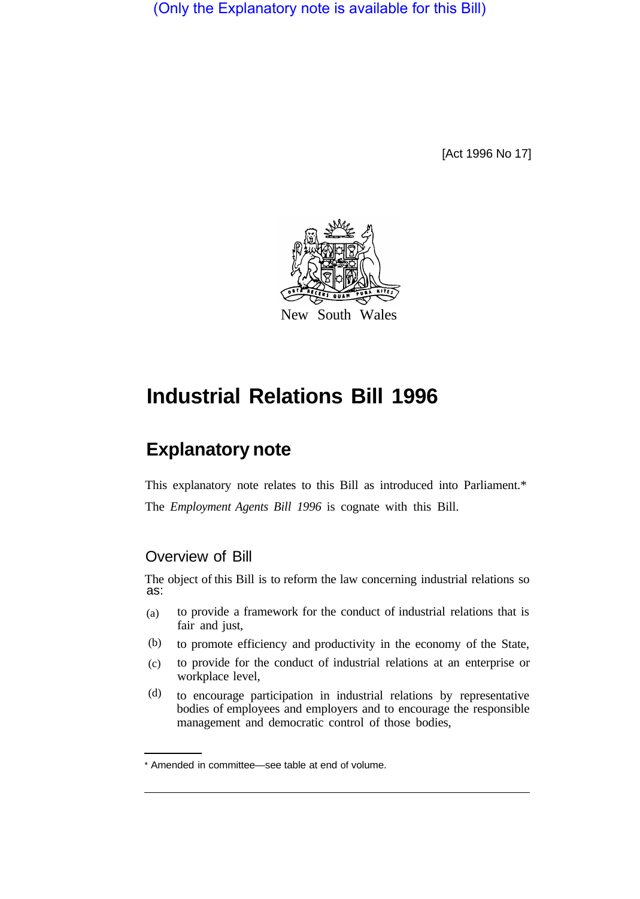(Only the Explanatory note is available for this Bill)

[Act 1996 No 17]



# **Industrial Relations Bill 1996**

# **Explanatory note**

This explanatory note relates to this Bill as introduced into Parliament.\* The *Employment Agents Bill 1996* is cognate with this Bill.

# Overview of Bill

The object of this Bill is to reform the law concerning industrial relations so as:

- to provide a framework for the conduct of industrial relations that is fair and just, (a)
- to promote efficiency and productivity in the economy of the State, (b)
- to provide for the conduct of industrial relations at an enterprise or workplace level, (c)
- to encourage participation in industrial relations by representative bodies of employees and employers and to encourage the responsible management and democratic control of those bodies, (d)

<sup>\*</sup> Amended in committee—see table at end of volume.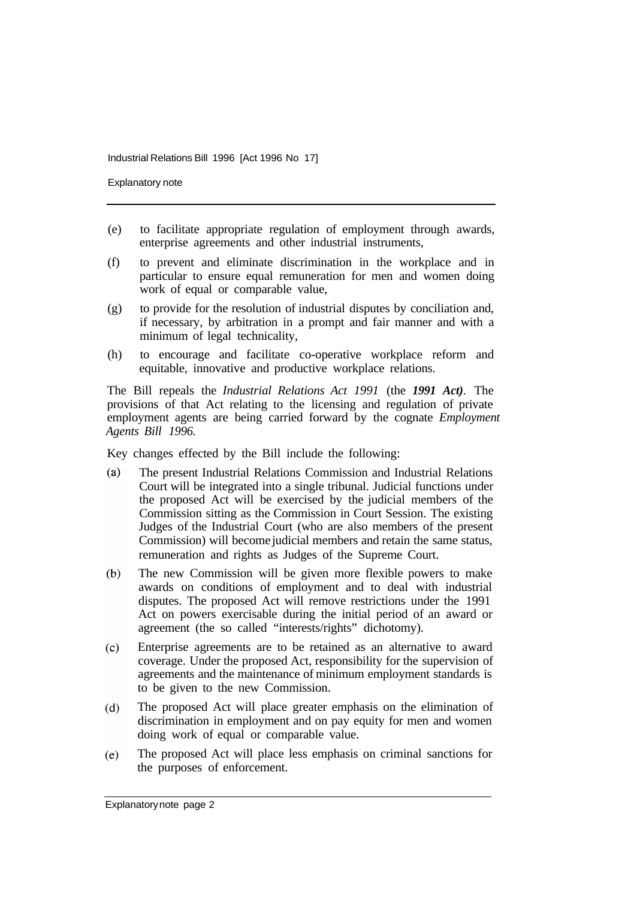Explanatory note

- (e) to facilitate appropriate regulation of employment through awards, enterprise agreements and other industrial instruments,
- (f) to prevent and eliminate discrimination in the workplace and in particular to ensure equal remuneration for men and women doing work of equal or comparable value,
- (g) to provide for the resolution of industrial disputes by conciliation and, if necessary, by arbitration in a prompt and fair manner and with a minimum of legal technicality,
- (h) to encourage and facilitate co-operative workplace reform and equitable, innovative and productive workplace relations.

The Bill repeals the *Industrial Relations Act 1991* (the *1991 Act)*. The provisions of that Act relating to the licensing and regulation of private employment agents are being carried forward by the cognate *Employment Agents Bill 1996.* 

Key changes effected by the Bill include the following:

- $(a)$ The present Industrial Relations Commission and Industrial Relations Court will be integrated into a single tribunal. Judicial functions under the proposed Act will be exercised by the judicial members of the Commission sitting as the Commission in Court Session. The existing Judges of the Industrial Court (who are also members of the present Commission) will become judicial members and retain the same status, remuneration and rights as Judges of the Supreme Court.
- $(b)$ The new Commission will be given more flexible powers to make awards on conditions of employment and to deal with industrial disputes. The proposed Act will remove restrictions under the 1991 Act on powers exercisable during the initial period of an award or agreement (the so called "interests/rights" dichotomy).
- $(c)$ Enterprise agreements are to be retained as an alternative to award coverage. Under the proposed Act, responsibility for the supervision of agreements and the maintenance of minimum employment standards is to be given to the new Commission.
- The proposed Act will place greater emphasis on the elimination of  $(d)$ discrimination in employment and on pay equity for men and women doing work of equal or comparable value.
- The proposed Act will place less emphasis on criminal sanctions for  $(e)$ the purposes of enforcement.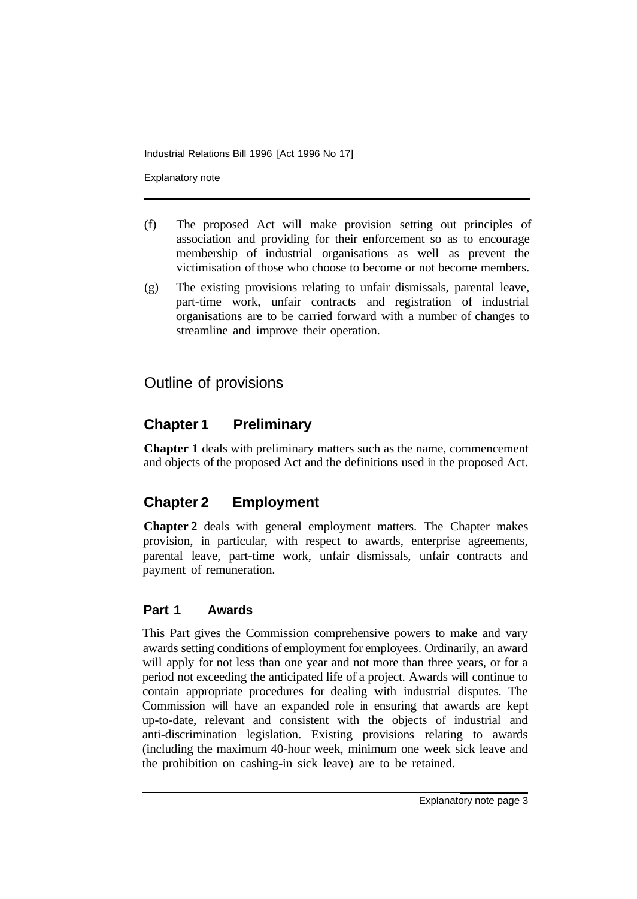Explanatory note

- (f) The proposed Act will make provision setting out principles of association and providing for their enforcement so as to encourage membership of industrial organisations as well as prevent the victimisation of those who choose to become or not become members.
- (g) The existing provisions relating to unfair dismissals, parental leave, part-time work, unfair contracts and registration of industrial organisations are to be carried forward with a number of changes to streamline and improve their operation.

# Outline of provisions

# **Chapter 1 Preliminary**

**Chapter 1** deals with preliminary matters such as the name, commencement and objects of the proposed Act and the definitions used in the proposed Act.

# **Chapter 2 Employment**

**Chapter 2** deals with general employment matters. The Chapter makes provision, in particular, with respect to awards, enterprise agreements, parental leave, part-time work, unfair dismissals, unfair contracts and payment of remuneration.

# **Part 1 Awards**

This Part gives the Commission comprehensive powers to make and vary awards setting conditions of employment for employees. Ordinarily, an award will apply for not less than one year and not more than three years, or for a period not exceeding the anticipated life of a project. Awards will continue to contain appropriate procedures for dealing with industrial disputes. The Commission will have an expanded role in ensuring that awards are kept up-to-date, relevant and consistent with the objects of industrial and anti-discrimination legislation. Existing provisions relating to awards (including the maximum 40-hour week, minimum one week sick leave and the prohibition on cashing-in sick leave) are to be retained.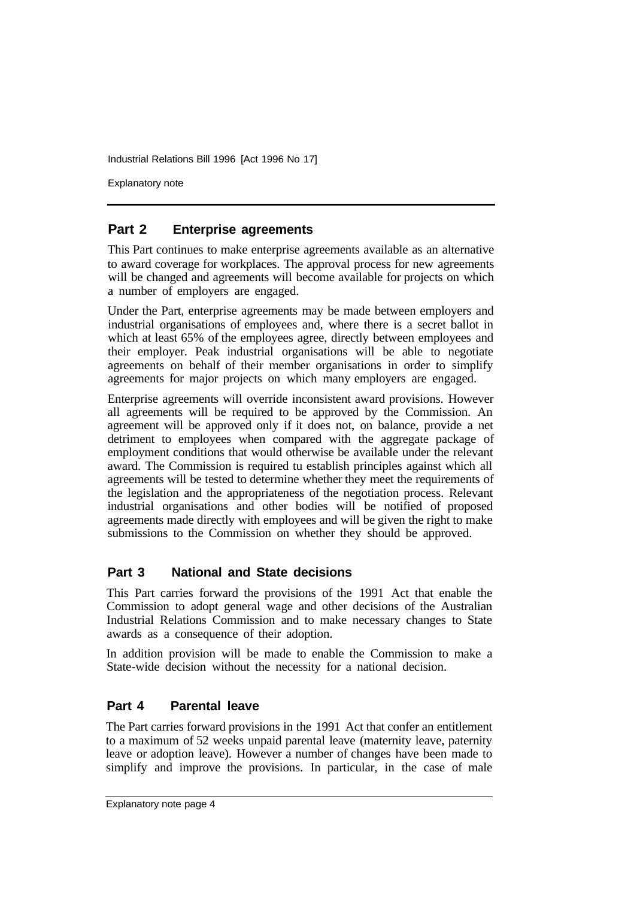Explanatory note

## **Part 2 Enterprise agreements**

This Part continues to make enterprise agreements available as an alternative to award coverage for workplaces. The approval process for new agreements will be changed and agreements will become available for projects on which a number of employers are engaged.

Under the Part, enterprise agreements may be made between employers and industrial organisations of employees and, where there is a secret ballot in which at least 65% of the employees agree, directly between employees and their employer. Peak industrial organisations will be able to negotiate agreements on behalf of their member organisations in order to simplify agreements for major projects on which many employers are engaged.

Enterprise agreements will override inconsistent award provisions. However all agreements will be required to be approved by the Commission. An agreement will be approved only if it does not, on balance, provide a net detriment to employees when compared with the aggregate package of employment conditions that would otherwise be available under the relevant award. The Commission is required tu establish principles against which all agreements will be tested to determine whether they meet the requirements of the legislation and the appropriateness of the negotiation process. Relevant industrial organisations and other bodies will be notified of proposed agreements made directly with employees and will be given the right to make submissions to the Commission on whether they should be approved.

#### **Part 3 National and State decisions**

This Part carries forward the provisions of the 1991 Act that enable the Commission to adopt general wage and other decisions of the Australian Industrial Relations Commission and to make necessary changes to State awards as a consequence of their adoption.

In addition provision will be made to enable the Commission to make a State-wide decision without the necessity for a national decision.

#### **Part 4 Parental leave**

The Part carries forward provisions in the 1991 Act that confer an entitlement to a maximum of 52 weeks unpaid parental leave (maternity leave, paternity leave or adoption leave). However a number of changes have been made to simplify and improve the provisions. In particular, in the case of male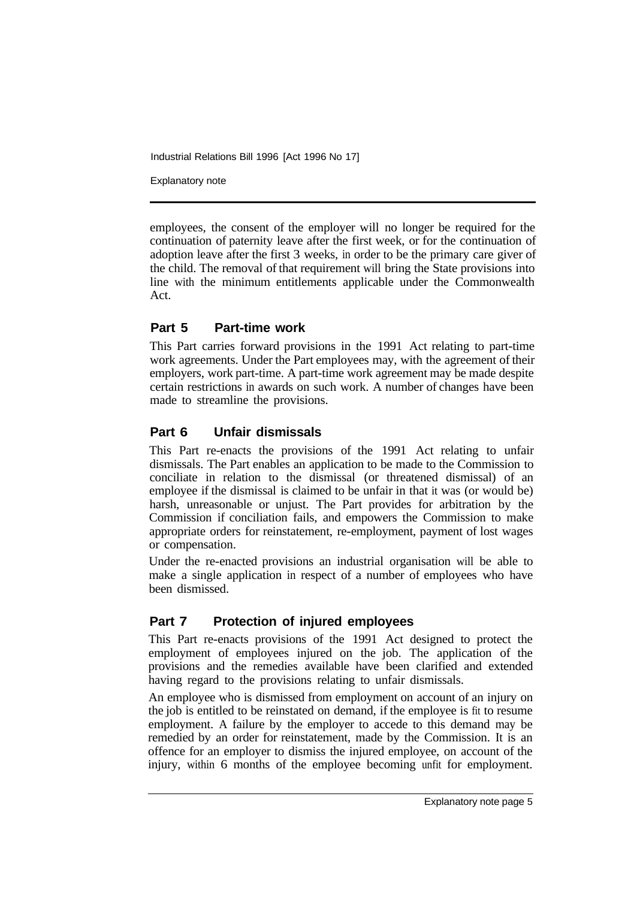Explanatory note

employees, the consent of the employer will no longer be required for the continuation of paternity leave after the first week, or for the continuation of adoption leave after the first 3 weeks, in order to be the primary care giver of the child. The removal of that requirement will bring the State provisions into line with the minimum entitlements applicable under the Commonwealth Act.

## **Part 5 Part-time work**

This Part carries forward provisions in the 1991 Act relating to part-time work agreements. Under the Part employees may, with the agreement of their employers, work part-time. A part-time work agreement may be made despite certain restrictions in awards on such work. A number of changes have been made to streamline the provisions.

#### **Part 6 Unfair dismissals**

This Part re-enacts the provisions of the 1991 Act relating to unfair dismissals. The Part enables an application to be made to the Commission to conciliate in relation to the dismissal (or threatened dismissal) of an employee if the dismissal is claimed to be unfair in that it was (or would be) harsh, unreasonable or unjust. The Part provides for arbitration by the Commission if conciliation fails, and empowers the Commission to make appropriate orders for reinstatement, re-employment, payment of lost wages or compensation.

Under the re-enacted provisions an industrial organisation will be able to make a single application in respect of a number of employees who have been dismissed.

# **Part 7 Protection of injured employees**

This Part re-enacts provisions of the 1991 Act designed to protect the employment of employees injured on the job. The application of the provisions and the remedies available have been clarified and extended having regard to the provisions relating to unfair dismissals.

An employee who is dismissed from employment on account of an injury on the job is entitled to be reinstated on demand, if the employee is fit to resume employment. A failure by the employer to accede to this demand may be remedied by an order for reinstatement, made by the Commission. It is an offence for an employer to dismiss the injured employee, on account of the injury, within 6 months of the employee becoming unfit for employment.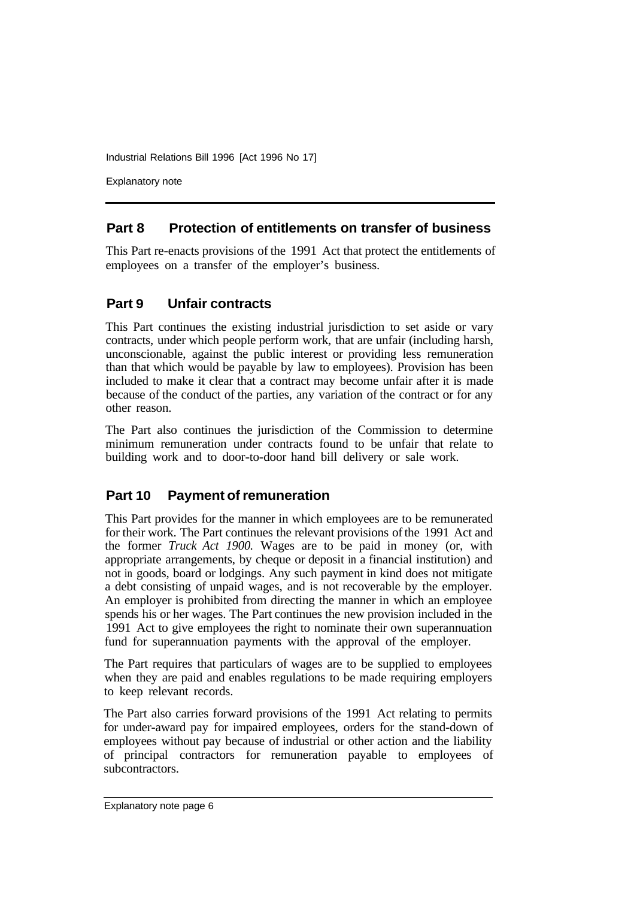Explanatory note

#### **Part 8 Protection of entitlements on transfer of business**

This Part re-enacts provisions of the 1991 Act that protect the entitlements of employees on a transfer of the employer's business.

## **Part 9 Unfair contracts**

This Part continues the existing industrial jurisdiction to set aside or vary contracts, under which people perform work, that are unfair (including harsh, unconscionable, against the public interest or providing less remuneration than that which would be payable by law to employees). Provision has been included to make it clear that a contract may become unfair after it is made because of the conduct of the parties, any variation of the contract or for any other reason.

The Part also continues the jurisdiction of the Commission to determine minimum remuneration under contracts found to be unfair that relate to building work and to door-to-door hand bill delivery or sale work.

#### **Part 10 Payment of remuneration**

This Part provides for the manner in which employees are to be remunerated for their work. The Part continues the relevant provisions of the 1991 Act and the former *Truck Act 1900.* Wages are to be paid in money (or, with appropriate arrangements, by cheque or deposit in a financial institution) and not in goods, board or lodgings. Any such payment in kind does not mitigate a debt consisting of unpaid wages, and is not recoverable by the employer. An employer is prohibited from directing the manner in which an employee spends his or her wages. The Part continues the new provision included in the 1991 Act to give employees the right to nominate their own superannuation fund for superannuation payments with the approval of the employer.

The Part requires that particulars of wages are to be supplied to employees when they are paid and enables regulations to be made requiring employers to keep relevant records.

The Part also carries forward provisions of the 1991 Act relating to permits for under-award pay for impaired employees, orders for the stand-down of employees without pay because of industrial or other action and the liability of principal contractors for remuneration payable to employees of subcontractors.

Explanatory note page 6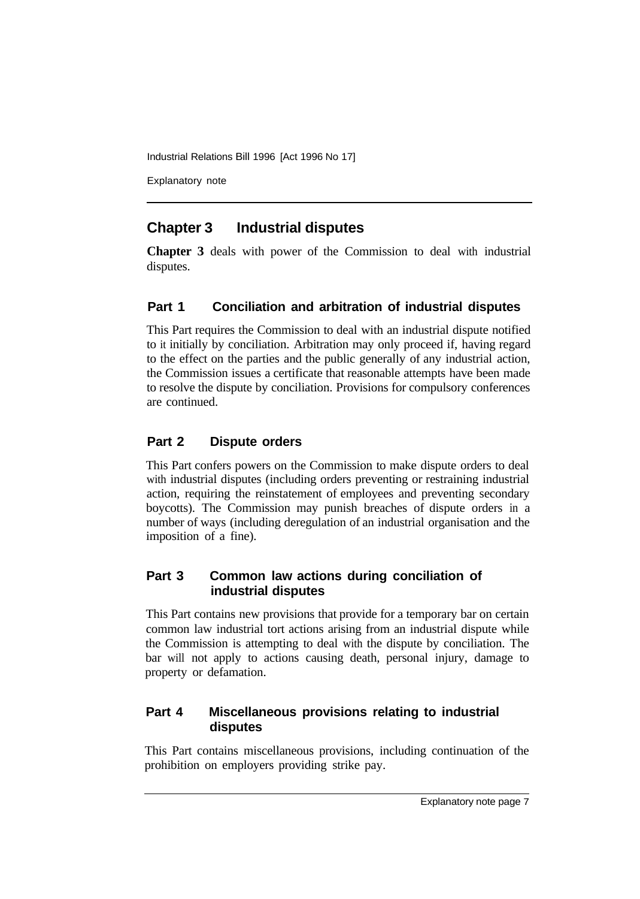Explanatory note

# **Chapter 3 Industrial disputes**

**Chapter 3** deals with power of the Commission to deal with industrial disputes.

# **Part 1 Conciliation and arbitration of industrial disputes**

This Part requires the Commission to deal with an industrial dispute notified to it initially by conciliation. Arbitration may only proceed if, having regard to the effect on the parties and the public generally of any industrial action, the Commission issues a certificate that reasonable attempts have been made to resolve the dispute by conciliation. Provisions for compulsory conferences are continued.

# **Part 2 Dispute orders**

This Part confers powers on the Commission to make dispute orders to deal with industrial disputes (including orders preventing or restraining industrial action, requiring the reinstatement of employees and preventing secondary boycotts). The Commission may punish breaches of dispute orders in a number of ways (including deregulation of an industrial organisation and the imposition of a fine).

# **Part 3 Common law actions during conciliation of industrial disputes**

This Part contains new provisions that provide for a temporary bar on certain common law industrial tort actions arising from an industrial dispute while the Commission is attempting to deal with the dispute by conciliation. The bar will not apply to actions causing death, personal injury, damage to property or defamation.

## **Part 4 Miscellaneous provisions relating to industrial disputes**

This Part contains miscellaneous provisions, including continuation of the prohibition on employers providing strike pay.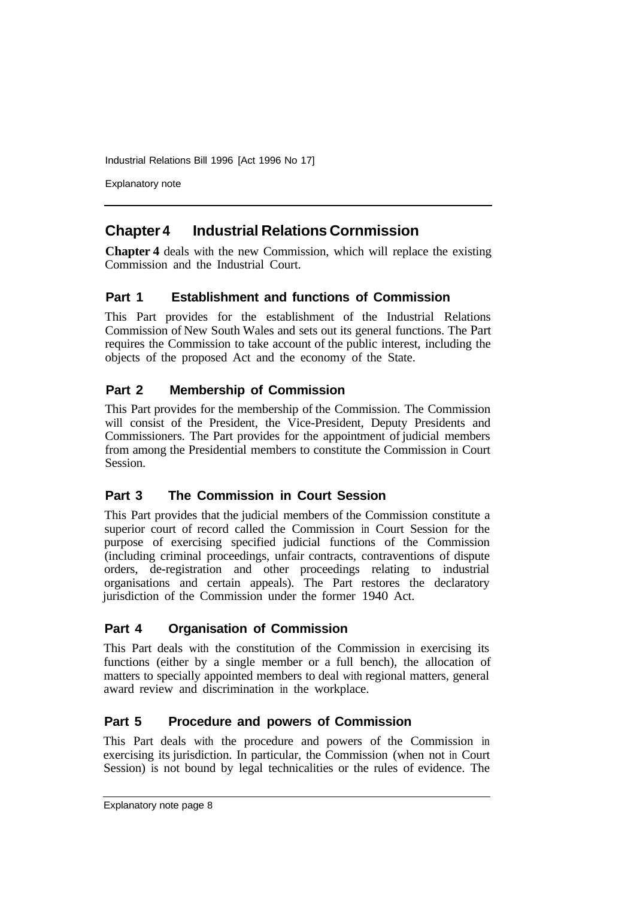Explanatory note

# **Chapter 4 Industrial Relations Cornmission**

**Chapter 4** deals with the new Commission, which will replace the existing Commission and the Industrial Court.

# **Part 1 Establishment and functions of Commission**

This Part provides for the establishment of the Industrial Relations Commission of New South Wales and sets out its general functions. The Part requires the Commission to take account of the public interest, including the objects of the proposed Act and the economy of the State.

# **Part 2 Membership of Commission**

This Part provides for the membership of the Commission. The Commission will consist of the President, the Vice-President, Deputy Presidents and Commissioners. The Part provides for the appointment of judicial members from among the Presidential members to constitute the Commission in Court Session.

# **Part 3 The Commission in Court Session**

This Part provides that the judicial members of the Commission constitute a superior court of record called the Commission in Court Session for the purpose of exercising specified judicial functions of the Commission (including criminal proceedings, unfair contracts, contraventions of dispute orders, de-registration and other proceedings relating to industrial organisations and certain appeals). The Part restores the declaratory jurisdiction of the Commission under the former 1940 Act.

# **Part 4 Organisation of Commission**

This Part deals with the constitution of the Commission in exercising its functions (either by a single member or a full bench), the allocation of matters to specially appointed members to deal with regional matters, general award review and discrimination in the workplace.

# **Part 5 Procedure and powers of Commission**

This Part deals with the procedure and powers of the Commission in exercising its jurisdiction. In particular, the Commission (when not in Court Session) is not bound by legal technicalities or the rules of evidence. The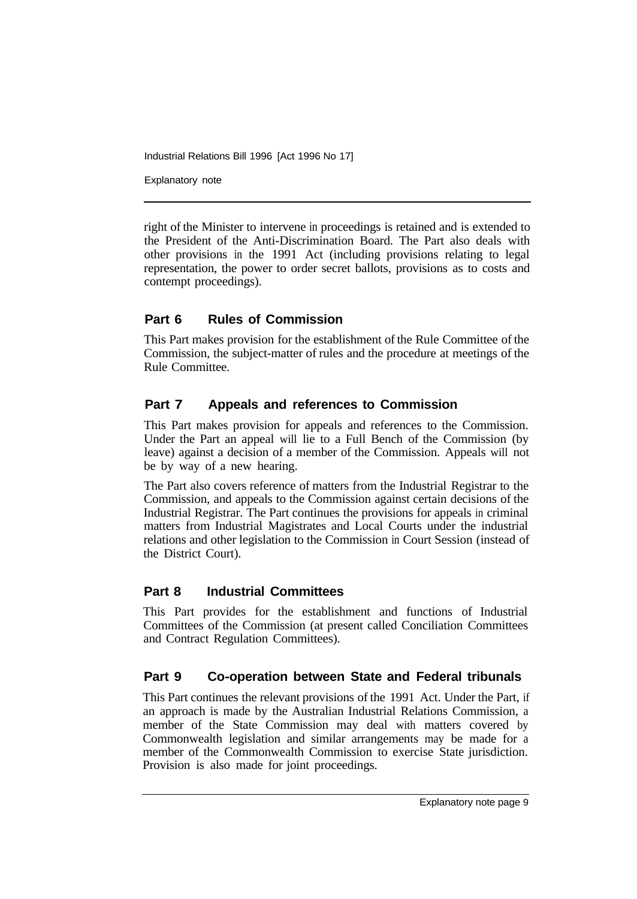Explanatory note

right of the Minister to intervene in proceedings is retained and is extended to the President of the Anti-Discrimination Board. The Part also deals with other provisions in the 1991 Act (including provisions relating to legal representation, the power to order secret ballots, provisions as to costs and contempt proceedings).

# **Part 6 Rules of Commission**

This Part makes provision for the establishment of the Rule Committee of the Commission, the subject-matter of rules and the procedure at meetings of the Rule Committee.

# **Part 7 Appeals and references to Commission**

This Part makes provision for appeals and references to the Commission. Under the Part an appeal will lie to a Full Bench of the Commission (by leave) against a decision of a member of the Commission. Appeals will not be by way of a new hearing.

The Part also covers reference of matters from the Industrial Registrar to the Commission, and appeals to the Commission against certain decisions of the Industrial Registrar. The Part continues the provisions for appeals in criminal matters from Industrial Magistrates and Local Courts under the industrial relations and other legislation to the Commission in Court Session (instead of the District Court).

# **Part 8 Industrial Committees**

This Part provides for the establishment and functions of Industrial Committees of the Commission (at present called Conciliation Committees and Contract Regulation Committees).

# **Part 9 Co-operation between State and Federal tribunals**

This Part continues the relevant provisions of the 1991 Act. Under the Part, if an approach is made by the Australian Industrial Relations Commission, a member of the State Commission may deal with matters covered by Commonwealth legislation and similar arrangements may be made for a member of the Commonwealth Commission to exercise State jurisdiction. Provision is also made for joint proceedings.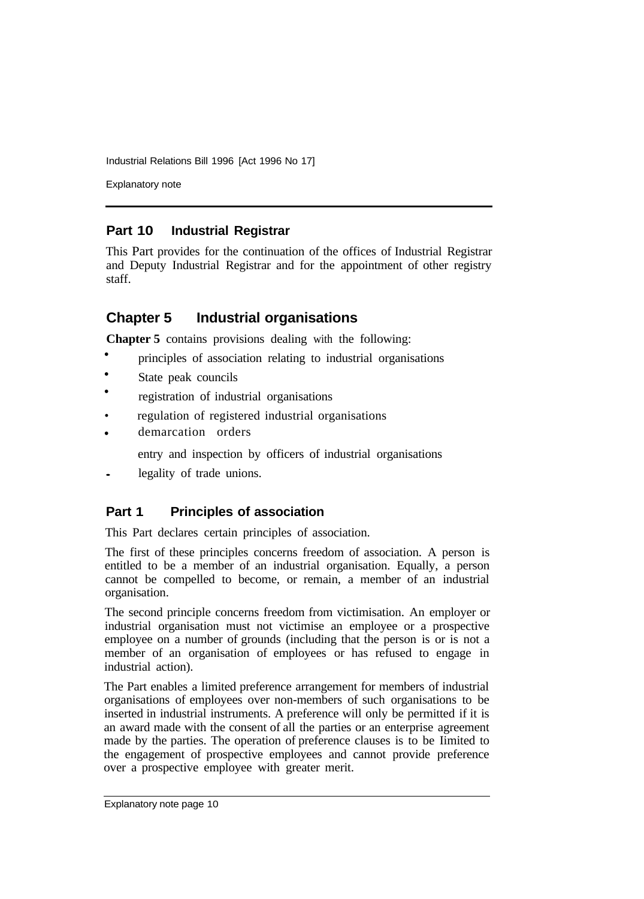Explanatory note

# **Part 10 Industrial Registrar**

This Part provides for the continuation of the offices of Industrial Registrar and Deputy Industrial Registrar and for the appointment of other registry staff.

# **Chapter 5 Industrial organisations**

**Chapter 5** contains provisions dealing with the following:

- principles of association relating to industrial organisations •
- State peak councils •
- registration of industrial organisations •
- regulation of registered industrial organisations
- demarcation orders •

entry and inspection by officers of industrial organisations

**•** legality of trade unions.

# **Part 1 Principles of association**

This Part declares certain principles of association.

The first of these principles concerns freedom of association. A person is entitled to be a member of an industrial organisation. Equally, a person cannot be compelled to become, or remain, a member of an industrial organisation.

The second principle concerns freedom from victimisation. An employer or industrial organisation must not victimise an employee or a prospective employee on a number of grounds (including that the person is or is not a member of an organisation of employees or has refused to engage in industrial action).

The Part enables a limited preference arrangement for members of industrial organisations of employees over non-members of such organisations to be inserted in industrial instruments. A preference will only be permitted if it is an award made with the consent of all the parties or an enterprise agreement made by the parties. The operation of preference clauses is to be Iimited to the engagement of prospective employees and cannot provide preference over a prospective employee with greater merit.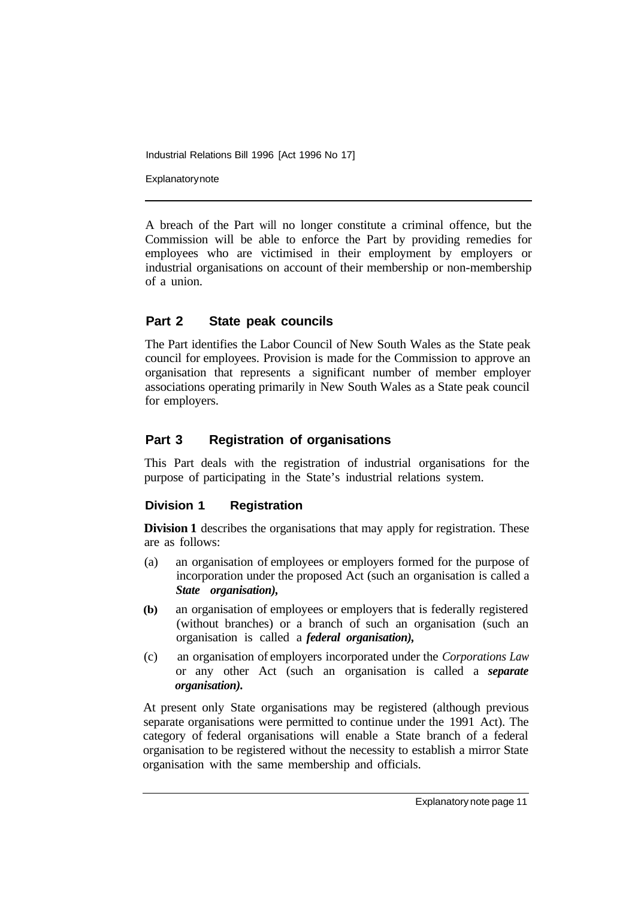**Explanatory note** 

A breach of the Part will no longer constitute a criminal offence, but the Commission will be able to enforce the Part by providing remedies for employees who are victimised in their employment by employers or industrial organisations on account of their membership or non-membership of a union.

## **Part 2 State peak councils**

The Part identifies the Labor Council of New South Wales as the State peak council for employees. Provision is made for the Commission to approve an organisation that represents a significant number of member employer associations operating primarily in New South Wales as a State peak council for employers.

# **Part 3 Registration of organisations**

This Part deals with the registration of industrial organisations for the purpose of participating in the State's industrial relations system.

#### **Division 1 Registration**

**Division 1** describes the organisations that may apply for registration. These are as follows:

- (a) an organisation of employees or employers formed for the purpose of incorporation under the proposed Act (such an organisation is called a *State organisation),*
- **(b)** an organisation of employees or employers that is federally registered (without branches) or a branch of such an organisation (such an organisation is called a *federal organisation),*
- (c) an organisation of employers incorporated under the *Corporations Law*  or any other Act (such an organisation is called a *separate organisation).*

At present only State organisations may be registered (although previous separate organisations were permitted to continue under the 1991 Act). The category of federal organisations will enable a State branch of a federal organisation to be registered without the necessity to establish a mirror State organisation with the same membership and officials.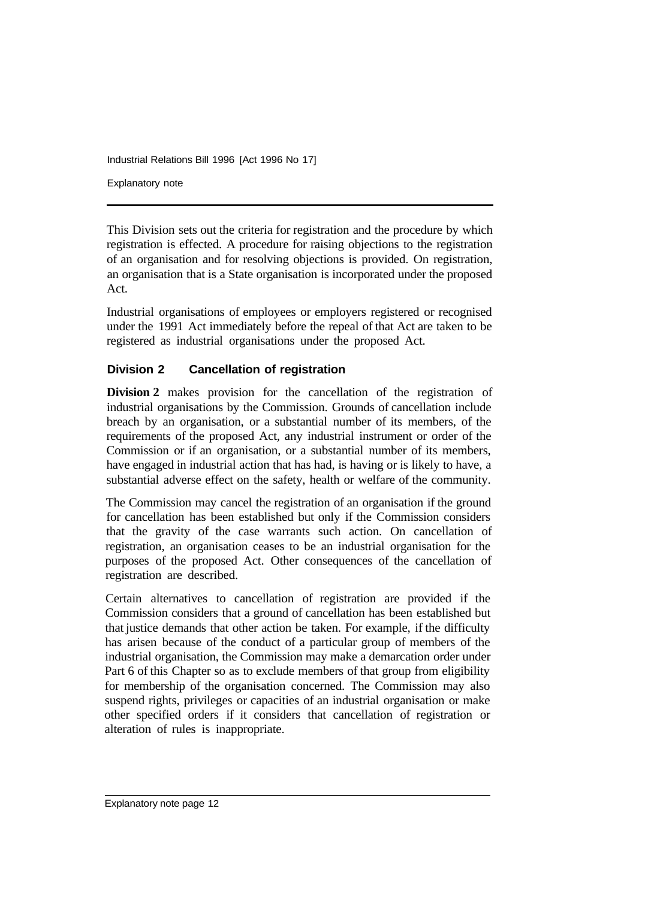Industrial Relations Bill 1996 [Act 1996 No 17] Explanatory note

This Division sets out the criteria for registration and the procedure by which registration is effected. A procedure for raising objections to the registration of an organisation and for resolving objections is provided. On registration, an organisation that is a State organisation is incorporated under the proposed Act.

Industrial organisations of employees or employers registered or recognised under the 1991 Act immediately before the repeal of that Act are taken to be registered as industrial organisations under the proposed Act.

# **Division 2 Cancellation of registration**

**Division 2** makes provision for the cancellation of the registration of industrial organisations by the Commission. Grounds of cancellation include breach by an organisation, or a substantial number of its members, of the requirements of the proposed Act, any industrial instrument or order of the Commission or if an organisation, or a substantial number of its members, have engaged in industrial action that has had, is having or is likely to have, a substantial adverse effect on the safety, health or welfare of the community.

The Commission may cancel the registration of an organisation if the ground for cancellation has been established but only if the Commission considers that the gravity of the case warrants such action. On cancellation of registration, an organisation ceases to be an industrial organisation for the purposes of the proposed Act. Other consequences of the cancellation of registration are described.

Certain alternatives to cancellation of registration are provided if the Commission considers that a ground of cancellation has been established but that justice demands that other action be taken. For example, if the difficulty has arisen because of the conduct of a particular group of members of the industrial organisation, the Commission may make a demarcation order under Part 6 of this Chapter so as to exclude members of that group from eligibility for membership of the organisation concerned. The Commission may also suspend rights, privileges or capacities of an industrial organisation or make other specified orders if it considers that cancellation of registration or alteration of rules is inappropriate.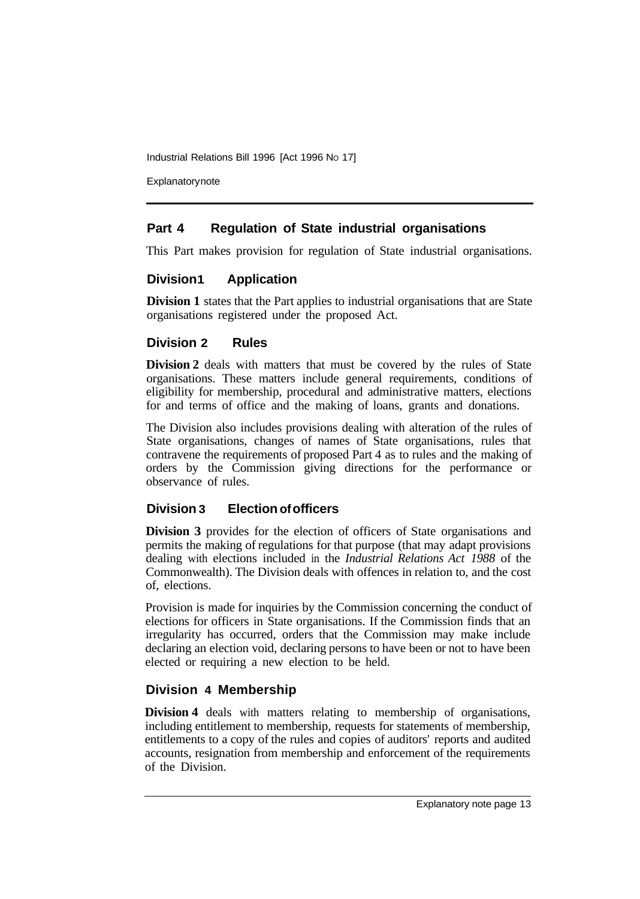**Explanatory note** 

# **Part 4 Regulation of State industrial organisations**

This Part makes provision for regulation of State industrial organisations.

# **Division1 Application**

**Division 1** states that the Part applies to industrial organisations that are State organisations registered under the proposed Act.

## **Division 2 Rules**

**Division 2** deals with matters that must be covered by the rules of State organisations. These matters include general requirements, conditions of eligibility for membership, procedural and administrative matters, elections for and terms of office and the making of loans, grants and donations.

The Division also includes provisions dealing with alteration of the rules of State organisations, changes of names of State organisations, rules that contravene the requirements of proposed Part 4 as to rules and the making of orders by the Commission giving directions for the performance or observance of rules.

# **Division 3 Election of officers**

**Division 3** provides for the election of officers of State organisations and permits the making of regulations for that purpose (that may adapt provisions dealing with elections included in the *Industrial Relations Act 1988* of the Commonwealth). The Division deals with offences in relation to, and the cost of, elections.

Provision is made for inquiries by the Commission concerning the conduct of elections for officers in State organisations. If the Commission finds that an irregularity has occurred, orders that the Commission may make include declaring an election void, declaring persons to have been or not to have been elected or requiring a new election to be held.

# **Division 4 Membership**

**Division 4** deals with matters relating to membership of organisations, including entitlement to membership, requests for statements of membership, entitlements to a copy of the rules and copies of auditors' reports and audited accounts, resignation from membership and enforcement of the requirements of the Division.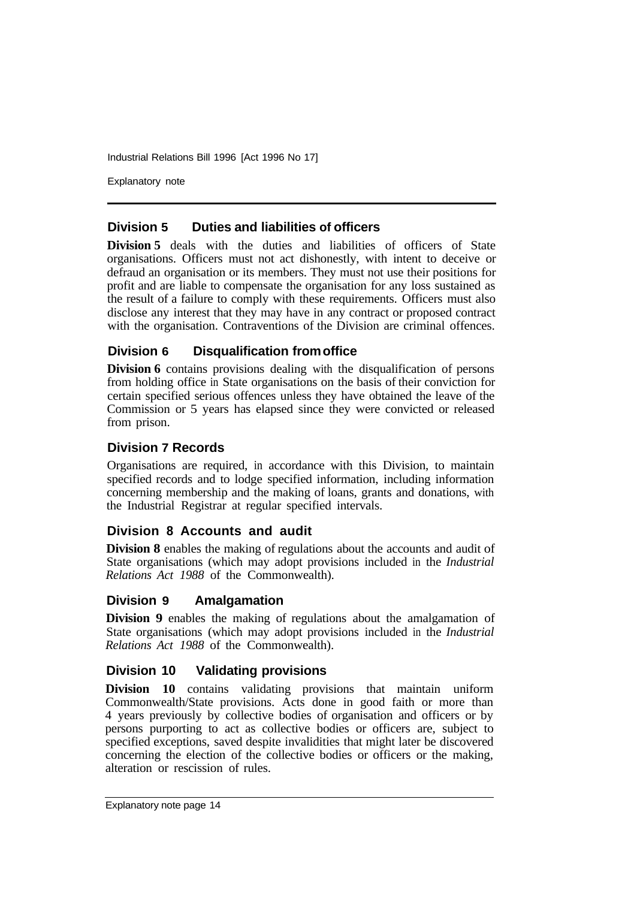Explanatory note

#### **Division 5 Duties and liabilities of officers**

**Division 5** deals with the duties and liabilities of officers of State organisations. Officers must not act dishonestly, with intent to deceive or defraud an organisation or its members. They must not use their positions for profit and are liable to compensate the organisation for any loss sustained as the result of a failure to comply with these requirements. Officers must also disclose any interest that they may have in any contract or proposed contract with the organisation. Contraventions of the Division are criminal offences.

#### **Division 6 Disqualification from office**

**Division 6** contains provisions dealing with the disqualification of persons from holding office in State organisations on the basis of their conviction for certain specified serious offences unless they have obtained the leave of the Commission or 5 years has elapsed since they were convicted or released from prison.

#### **Division 7 Records**

Organisations are required, in accordance with this Division, to maintain specified records and to lodge specified information, including information concerning membership and the making of loans, grants and donations, with the Industrial Registrar at regular specified intervals.

#### **Division 8 Accounts and audit**

**Division 8** enables the making of regulations about the accounts and audit of State organisations (which may adopt provisions included in the *Industrial Relations Act 1988* of the Commonwealth).

#### **Division 9 Amalgamation**

**Division 9** enables the making of regulations about the amalgamation of State organisations (which may adopt provisions included in the *Industrial Relations Act 1988* of the Commonwealth).

#### **Division 10 Validating provisions**

**Division 10** contains validating provisions that maintain uniform Commonwealth/State provisions. Acts done in good faith or more than 4 years previously by collective bodies of organisation and officers or by persons purporting to act as collective bodies or officers are, subject to specified exceptions, saved despite invalidities that might later be discovered concerning the election of the collective bodies or officers or the making, alteration or rescission of rules.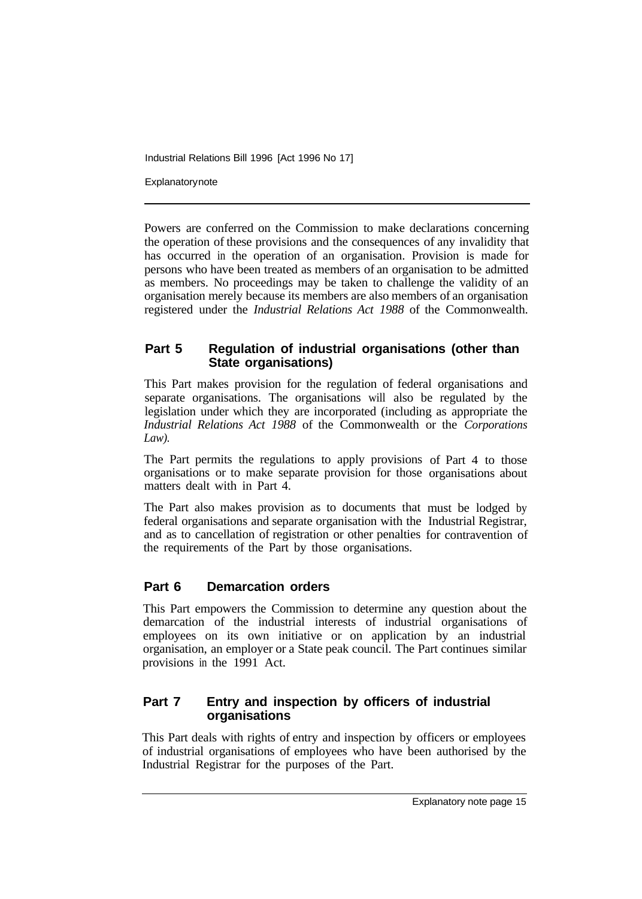**Explanatory note** 

Powers are conferred on the Commission to make declarations concerning the operation of these provisions and the consequences of any invalidity that has occurred in the operation of an organisation. Provision is made for persons who have been treated as members of an organisation to be admitted as members. No proceedings may be taken to challenge the validity of an organisation merely because its members are also members of an organisation registered under the *Industrial Relations Act 1988* of the Commonwealth.

#### **Part 5 Regulation of industrial organisations (other than State organisations)**

This Part makes provision for the regulation of federal organisations and separate organisations. The organisations will also be regulated by the legislation under which they are incorporated (including as appropriate the *Industrial Relations Act 1988* of the Commonwealth or the *Corporations Law).* 

The Part permits the regulations to apply provisions of Part 4 to those organisations or to make separate provision for those organisations about matters dealt with in Part 4.

The Part also makes provision as to documents that must be lodged by federal organisations and separate organisation with the Industrial Registrar, and as to cancellation of registration or other penalties for contravention of the requirements of the Part by those organisations.

#### **Part 6 Demarcation orders**

This Part empowers the Commission to determine any question about the demarcation of the industrial interests of industrial organisations of employees on its own initiative or on application by an industrial organisation, an employer or a State peak council. The Part continues similar provisions in the 1991 Act.

## **Part 7 Entry and inspection by officers of industrial organisations**

This Part deals with rights of entry and inspection by officers or employees of industrial organisations of employees who have been authorised by the Industrial Registrar for the purposes of the Part.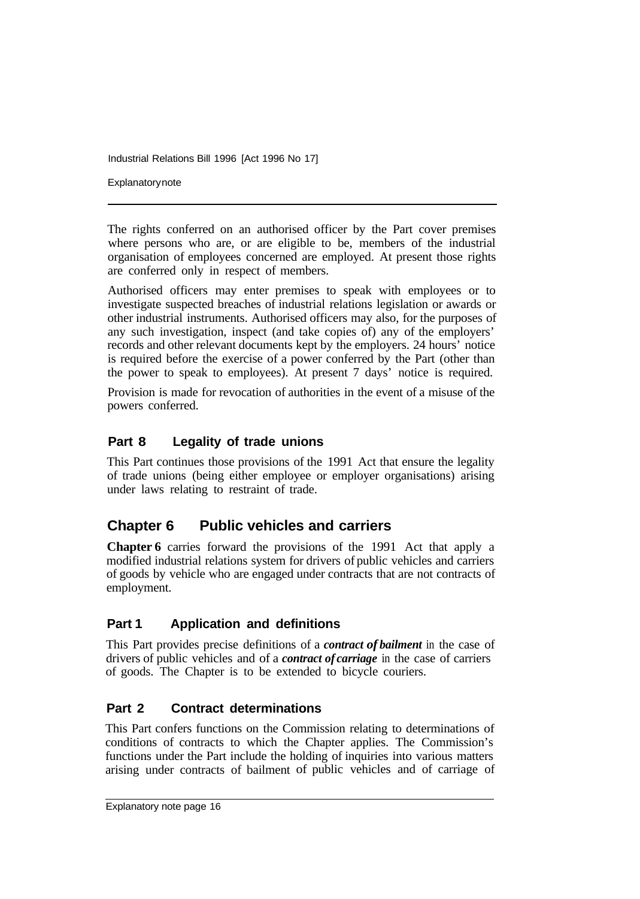**Explanatory note** 

The rights conferred on an authorised officer by the Part cover premises where persons who are, or are eligible to be, members of the industrial organisation of employees concerned are employed. At present those rights are conferred only in respect of members.

Authorised officers may enter premises to speak with employees or to investigate suspected breaches of industrial relations legislation or awards or other industrial instruments. Authorised officers may also, for the purposes of any such investigation, inspect (and take copies of) any of the employers' records and other relevant documents kept by the employers. 24 hours' notice is required before the exercise of a power conferred by the Part (other than the power to speak to employees). At present 7 days' notice is required.

Provision is made for revocation of authorities in the event of a misuse of the powers conferred.

## **Part 8 Legality of trade unions**

This Part continues those provisions of the 1991 Act that ensure the legality of trade unions (being either employee or employer organisations) arising under laws relating to restraint of trade.

# **Chapter 6 Public vehicles and carriers**

**Chapter 6** carries forward the provisions of the 1991 Act that apply a modified industrial relations system for drivers of public vehicles and carriers of goods by vehicle who are engaged under contracts that are not contracts of employment.

#### **Part 1 Application and definitions**

This Part provides precise definitions of a *contract of bailment* in the case of drivers of public vehicles and of a *contract of carriage* in the case of carriers of goods. The Chapter is to be extended to bicycle couriers.

#### **Part 2 Contract determinations**

This Part confers functions on the Commission relating to determinations of conditions of contracts to which the Chapter applies. The Commission's functions under the Part include the holding of inquiries into various matters arising under contracts of bailment of public vehicles and of carriage of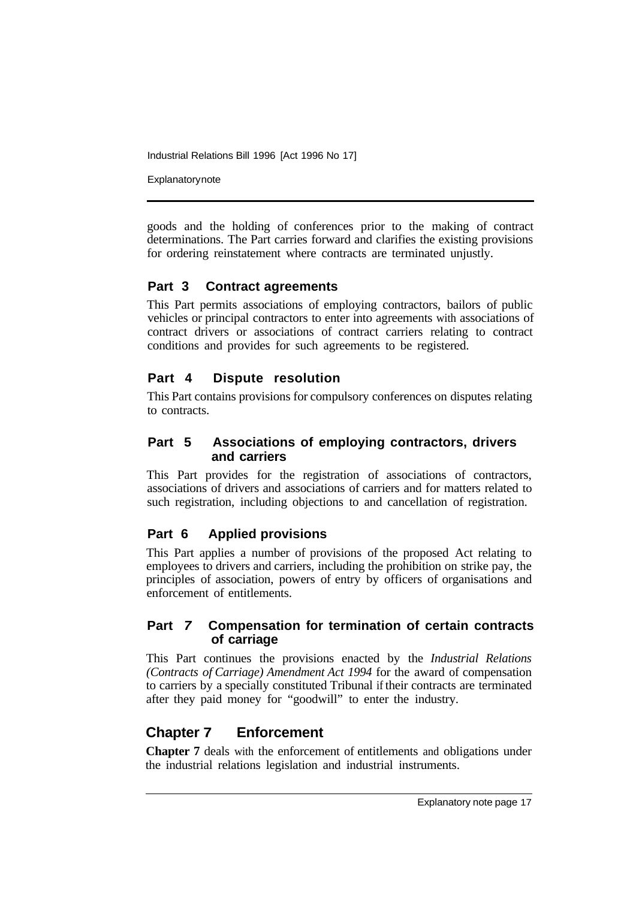**Explanatory note** 

goods and the holding of conferences prior to the making of contract determinations. The Part carries forward and clarifies the existing provisions for ordering reinstatement where contracts are terminated unjustly.

#### **Part 3 Contract agreements**

This Part permits associations of employing contractors, bailors of public vehicles or principal contractors to enter into agreements with associations of contract drivers or associations of contract carriers relating to contract conditions and provides for such agreements to be registered.

# **Part 4 Dispute resolution**

This Part contains provisions for compulsory conferences on disputes relating to contracts.

## **Part 5 Associations of employing contractors, drivers and carriers**

This Part provides for the registration of associations of contractors, associations of drivers and associations of carriers and for matters related to such registration, including objections to and cancellation of registration.

# **Part 6 Applied provisions**

This Part applies a number of provisions of the proposed Act relating to employees to drivers and carriers, including the prohibition on strike pay, the principles of association, powers of entry by officers of organisations and enforcement of entitlements.

#### **Part** *7* **Compensation for termination of certain contracts of carriage**

This Part continues the provisions enacted by the *Industrial Relations (Contracts of Carriage) Amendment Act 1994* for the award of compensation to carriers by a specially constituted Tribunal if their contracts are terminated after they paid money for "goodwill" to enter the industry.

# **Chapter 7 Enforcement**

**Chapter 7** deals with the enforcement of entitlements and obligations under the industrial relations legislation and industrial instruments.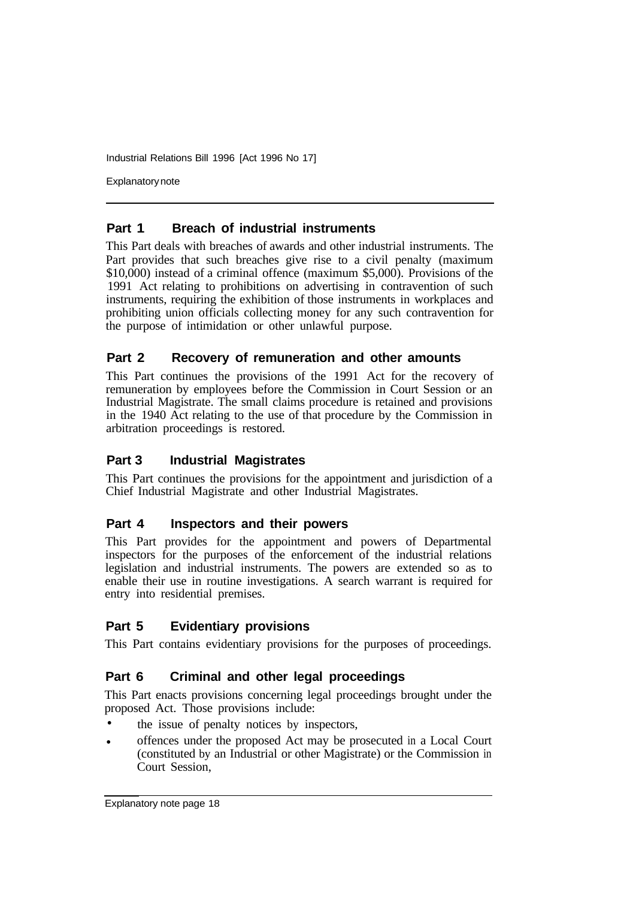Explanatory note

#### **Part 1 Breach of industrial instruments**

This Part deals with breaches of awards and other industrial instruments. The Part provides that such breaches give rise to a civil penalty (maximum \$10,000) instead of a criminal offence (maximum \$5,000). Provisions of the 1991 Act relating to prohibitions on advertising in contravention of such instruments, requiring the exhibition of those instruments in workplaces and prohibiting union officials collecting money for any such contravention for the purpose of intimidation or other unlawful purpose.

#### **Part 2 Recovery of remuneration and other amounts**

This Part continues the provisions of the 1991 Act for the recovery of remuneration by employees before the Commission in Court Session or an Industrial Magistrate. The small claims procedure is retained and provisions in the 1940 Act relating to the use of that procedure by the Commission in arbitration proceedings is restored.

#### **Part 3 Industrial Magistrates**

This Part continues the provisions for the appointment and jurisdiction of a Chief Industrial Magistrate and other Industrial Magistrates.

#### **Part 4 Inspectors and their powers**

This Part provides for the appointment and powers of Departmental inspectors for the purposes of the enforcement of the industrial relations legislation and industrial instruments. The powers are extended so as to enable their use in routine investigations. A search warrant is required for entry into residential premises.

#### **Part 5 Evidentiary provisions**

This Part contains evidentiary provisions for the purposes of proceedings.

#### **Part 6 Criminal and other legal proceedings**

This Part enacts provisions concerning legal proceedings brought under the proposed Act. Those provisions include:

- the issue of penalty notices by inspectors, •
- offences under the proposed Act may be prosecuted in a Local Court (constituted by an Industrial or other Magistrate) or the Commission in Court Session, •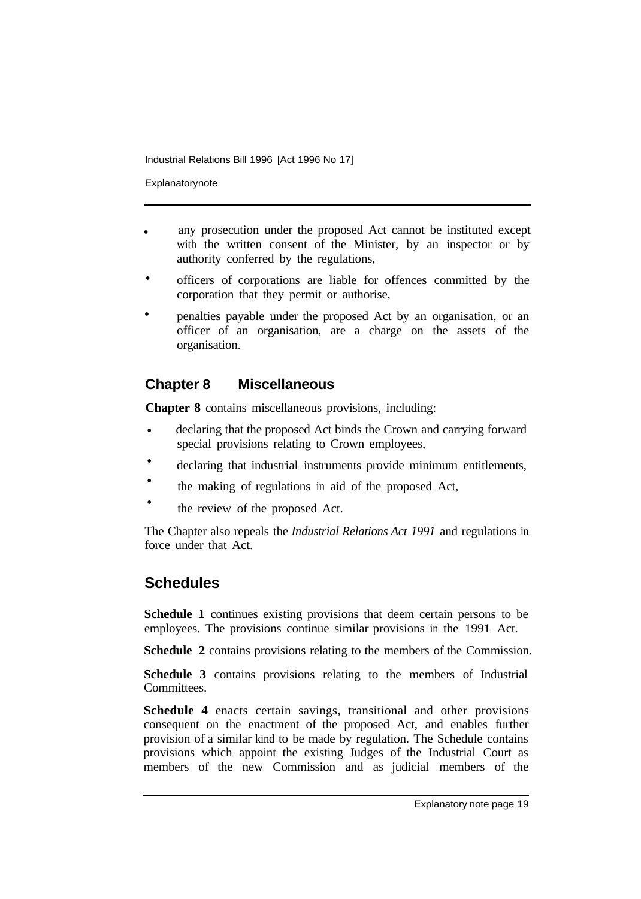Explanatorynote

- any prosecution under the proposed Act cannot be instituted except with the written consent of the Minister, by an inspector or by authority conferred by the regulations, •
- officers of corporations are liable for offences committed by the corporation that they permit or authorise, •
- penalties payable under the proposed Act by an organisation, or an officer of an organisation, are a charge on the assets of the organisation. •

# **Chapter 8 Miscellaneous**

**Chapter 8** contains miscellaneous provisions, including:

- declaring that the proposed Act binds the Crown and carrying forward special provisions relating to Crown employees, •
- declaring that industrial instruments provide minimum entitlements, •
- the making of regulations in aid of the proposed Act, •
- the review of the proposed Act. •

The Chapter also repeals the *Industrial Relations Act 1991* and regulations in force under that Act.

# **Schedules**

**Schedule 1** continues existing provisions that deem certain persons to be employees. The provisions continue similar provisions in the 1991 Act.

**Schedule 2** contains provisions relating to the members of the Commission.

**Schedule 3** contains provisions relating to the members of Industrial Committees.

**Schedule 4** enacts certain savings, transitional and other provisions consequent on the enactment of the proposed Act, and enables further provision of a similar kind to be made by regulation. The Schedule contains provisions which appoint the existing Judges of the Industrial Court as members of the new Commission and as judicial members of the